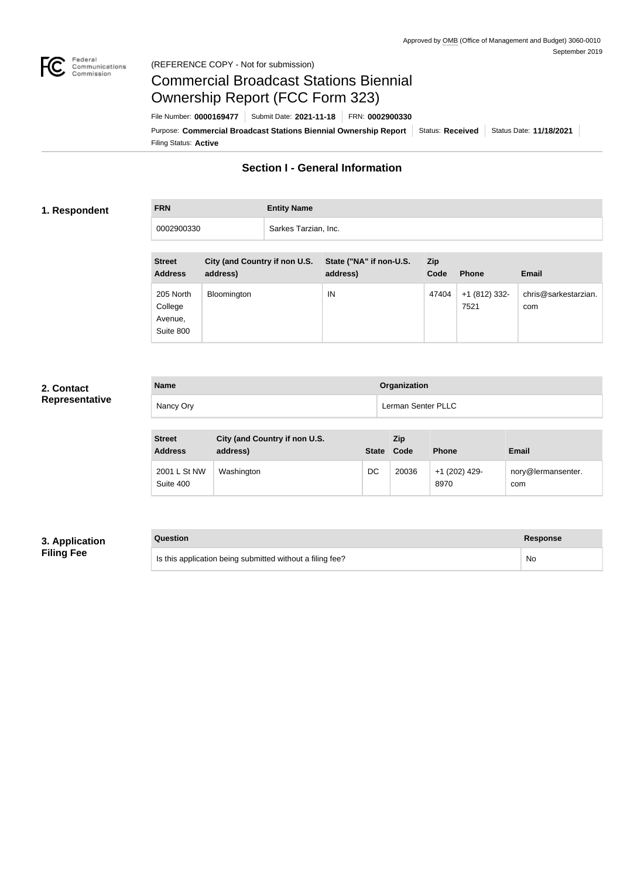

### Federal<br>Communications<br>Commission (REFERENCE COPY - Not for submission)

# Commercial Broadcast Stations Biennial Ownership Report (FCC Form 323)

Filing Status: **Active** Purpose: Commercial Broadcast Stations Biennial Ownership Report Status: Received Status Date: 11/18/2021 File Number: **0000169477** Submit Date: **2021-11-18** FRN: **0002900330**

## **Section I - General Information**

### **1. Respondent**

**FRN Entity Name**

0002900330 Sarkes Tarzian, Inc.

| <b>Street</b><br><b>Address</b>              | City (and Country if non U.S.<br>address) | State ("NA" if non-U.S.<br>address) | <b>Zip</b><br>Code | <b>Phone</b>          | <b>Email</b>                |
|----------------------------------------------|-------------------------------------------|-------------------------------------|--------------------|-----------------------|-----------------------------|
| 205 North<br>College<br>Avenue,<br>Suite 800 | Bloomington                               | IN                                  | 47404              | +1 (812) 332-<br>7521 | chris@sarkestarzian.<br>com |

## **2. Contact Representative**

| <b>Name</b> | Organization       |
|-------------|--------------------|
| Nancy Ory   | Lerman Senter PLLC |

| <b>Street</b><br><b>Address</b> | City (and Country if non U.S.<br>address) | <b>State</b> | Zip<br>Code | <b>Phone</b>          | <b>Email</b>              |
|---------------------------------|-------------------------------------------|--------------|-------------|-----------------------|---------------------------|
| 2001 L St NW<br>Suite 400       | Washington                                | DC           | 20036       | +1 (202) 429-<br>8970 | nory@lermansenter.<br>com |

## **3. Application Filing Fee**

| Question                                                  | Response |
|-----------------------------------------------------------|----------|
| Is this application being submitted without a filing fee? | No       |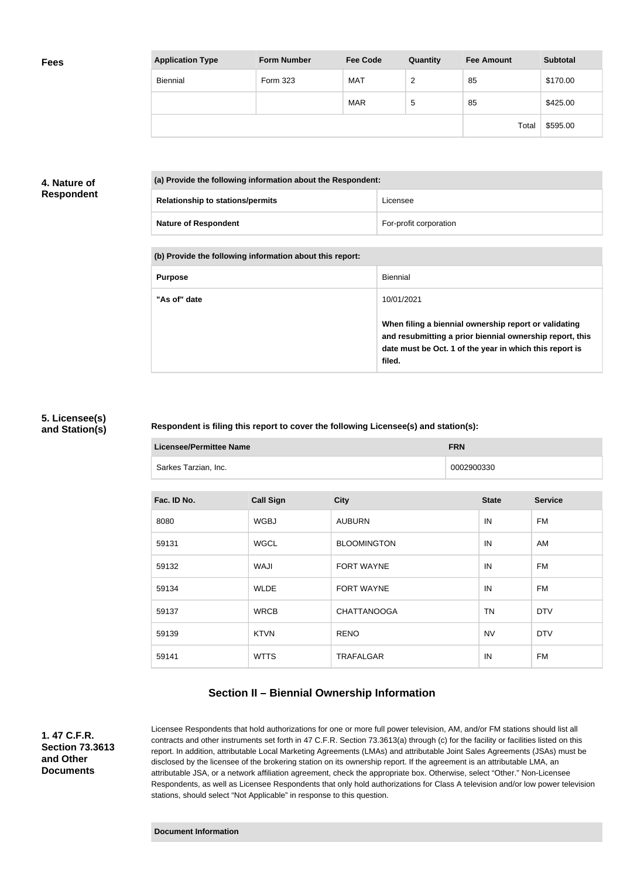| <b>Application Type</b> | <b>Form Number</b> | <b>Fee Code</b> | Quantity | <b>Fee Amount</b> | <b>Subtotal</b> |
|-------------------------|--------------------|-----------------|----------|-------------------|-----------------|
| <b>Biennial</b>         | Form 323           | <b>MAT</b>      | 2        | 85                | \$170.00        |
|                         |                    | <b>MAR</b>      | 5        | 85                | \$425.00        |
|                         |                    |                 |          | Total             | \$595.00        |

### **4. Nature of Respondent**

| (a) Provide the following information about the Respondent: |                        |  |
|-------------------------------------------------------------|------------------------|--|
| <b>Relationship to stations/permits</b>                     | Licensee               |  |
| <b>Nature of Respondent</b>                                 | For-profit corporation |  |

### **(b) Provide the following information about this report:**

| <b>Purpose</b> | Biennial                                                                                                                                                                               |
|----------------|----------------------------------------------------------------------------------------------------------------------------------------------------------------------------------------|
| "As of" date   | 10/01/2021                                                                                                                                                                             |
|                | When filing a biennial ownership report or validating<br>and resubmitting a prior biennial ownership report, this<br>date must be Oct. 1 of the year in which this report is<br>filed. |

### **5. Licensee(s) and Station(s)**

### **Respondent is filing this report to cover the following Licensee(s) and station(s):**

| <b>Licensee/Permittee Name</b> |                  |                    |            | <b>FRN</b>   |                |  |
|--------------------------------|------------------|--------------------|------------|--------------|----------------|--|
| Sarkes Tarzian, Inc.           |                  |                    | 0002900330 |              |                |  |
|                                |                  |                    |            |              |                |  |
| Fac. ID No.                    | <b>Call Sign</b> | <b>City</b>        |            | <b>State</b> | <b>Service</b> |  |
| 8080                           | <b>WGBJ</b>      | <b>AUBURN</b>      |            | IN           | FM             |  |
| 59131                          | <b>WGCL</b>      | <b>BLOOMINGTON</b> |            | IN           | AM             |  |
| 59132                          | <b>WAJI</b>      | <b>FORT WAYNE</b>  |            | IN           | <b>FM</b>      |  |
| 59134                          | <b>WLDE</b>      | <b>FORT WAYNE</b>  |            | IN           | <b>FM</b>      |  |
| 59137                          | <b>WRCB</b>      | <b>CHATTANOOGA</b> |            | <b>TN</b>    | <b>DTV</b>     |  |
| 59139                          | <b>KTVN</b>      | <b>RENO</b>        |            | <b>NV</b>    | <b>DTV</b>     |  |
| 59141                          | <b>WTTS</b>      | <b>TRAFALGAR</b>   |            | IN           | <b>FM</b>      |  |

## **Section II – Biennial Ownership Information**

**1. 47 C.F.R. Section 73.3613 and Other Documents**

Licensee Respondents that hold authorizations for one or more full power television, AM, and/or FM stations should list all contracts and other instruments set forth in 47 C.F.R. Section 73.3613(a) through (c) for the facility or facilities listed on this report. In addition, attributable Local Marketing Agreements (LMAs) and attributable Joint Sales Agreements (JSAs) must be disclosed by the licensee of the brokering station on its ownership report. If the agreement is an attributable LMA, an attributable JSA, or a network affiliation agreement, check the appropriate box. Otherwise, select "Other." Non-Licensee Respondents, as well as Licensee Respondents that only hold authorizations for Class A television and/or low power television stations, should select "Not Applicable" in response to this question.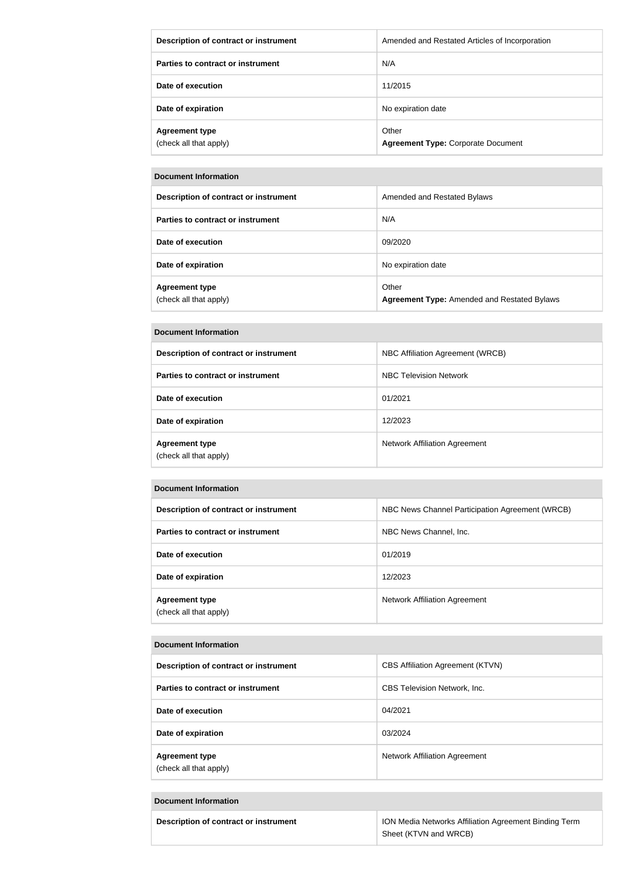| Description of contract or instrument           | Amended and Restated Articles of Incorporation     |
|-------------------------------------------------|----------------------------------------------------|
| Parties to contract or instrument               | N/A                                                |
| Date of execution                               | 11/2015                                            |
| Date of expiration                              | No expiration date                                 |
| <b>Agreement type</b><br>(check all that apply) | Other<br><b>Agreement Type: Corporate Document</b> |

### **Document Information**

| Description of contract or instrument           | Amended and Restated Bylaws                                 |
|-------------------------------------------------|-------------------------------------------------------------|
| Parties to contract or instrument               | N/A                                                         |
| Date of execution                               | 09/2020                                                     |
| Date of expiration                              | No expiration date                                          |
| <b>Agreement type</b><br>(check all that apply) | Other<br><b>Agreement Type: Amended and Restated Bylaws</b> |

### **Document Information**

| Description of contract or instrument           | NBC Affiliation Agreement (WRCB) |
|-------------------------------------------------|----------------------------------|
| Parties to contract or instrument               | <b>NBC Television Network</b>    |
| Date of execution                               | 01/2021                          |
| Date of expiration                              | 12/2023                          |
| <b>Agreement type</b><br>(check all that apply) | Network Affiliation Agreement    |

### **Document Information**

| Description of contract or instrument           | NBC News Channel Participation Agreement (WRCB) |
|-------------------------------------------------|-------------------------------------------------|
| Parties to contract or instrument               | NBC News Channel, Inc.                          |
| Date of execution                               | 01/2019                                         |
| Date of expiration                              | 12/2023                                         |
| <b>Agreement type</b><br>(check all that apply) | Network Affiliation Agreement                   |

### **Document Information**

| Description of contract or instrument           | <b>CBS Affiliation Agreement (KTVN)</b> |
|-------------------------------------------------|-----------------------------------------|
| Parties to contract or instrument               | <b>CBS Television Network, Inc.</b>     |
| Date of execution                               | 04/2021                                 |
| Date of expiration                              | 03/2024                                 |
| <b>Agreement type</b><br>(check all that apply) | <b>Network Affiliation Agreement</b>    |

### **Document Information**

| Description of contract or instrument | ION Media Networks Affiliation Agreement Binding Term |  |
|---------------------------------------|-------------------------------------------------------|--|
|                                       | Sheet (KTVN and WRCB)                                 |  |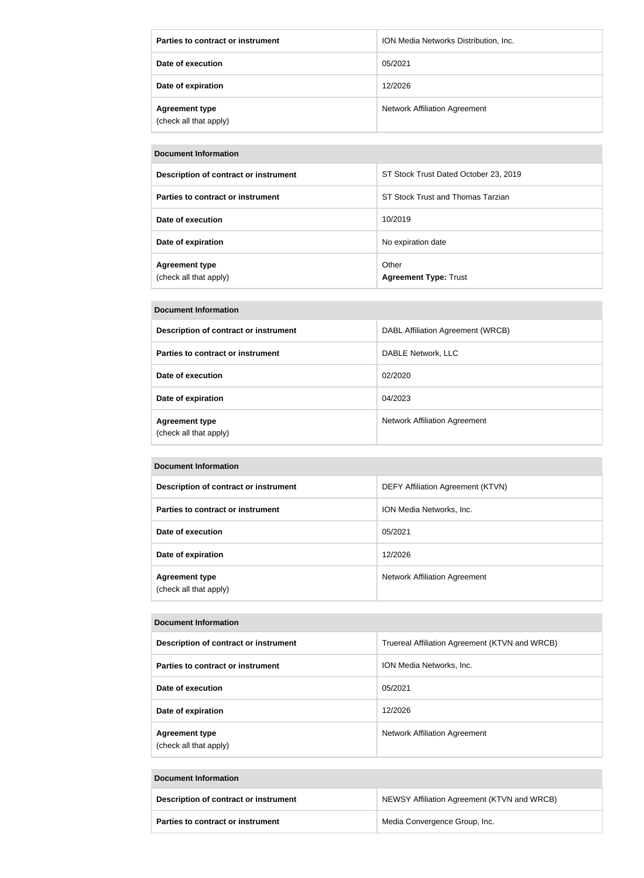| Parties to contract or instrument               | ION Media Networks Distribution, Inc. |
|-------------------------------------------------|---------------------------------------|
| Date of execution                               | 05/2021                               |
| Date of expiration                              | 12/2026                               |
| <b>Agreement type</b><br>(check all that apply) | <b>Network Affiliation Agreement</b>  |

#### **Document Information**

| Description of contract or instrument           | ST Stock Trust Dated October 23, 2019 |
|-------------------------------------------------|---------------------------------------|
| Parties to contract or instrument               | ST Stock Trust and Thomas Tarzian     |
| Date of execution                               | 10/2019                               |
| Date of expiration                              | No expiration date                    |
| <b>Agreement type</b><br>(check all that apply) | Other<br><b>Agreement Type: Trust</b> |

# **Document Information Description of contract or instrument** DABL Affiliation Agreement (WRCB) **Parties to contract or instrument** DABLE Network, LLC **Date of execution** 02/2020 **Date of expiration** 04/2023 **Agreement type** (check all that apply) Network Affiliation Agreement

### **Document Information**

| Description of contract or instrument           | <b>DEFY Affiliation Agreement (KTVN)</b> |
|-------------------------------------------------|------------------------------------------|
| Parties to contract or instrument               | ION Media Networks, Inc.                 |
| Date of execution                               | 05/2021                                  |
| Date of expiration                              | 12/2026                                  |
| <b>Agreement type</b><br>(check all that apply) | Network Affiliation Agreement            |

#### **Document Information**

| Description of contract or instrument           | Truereal Affiliation Agreement (KTVN and WRCB) |
|-------------------------------------------------|------------------------------------------------|
| Parties to contract or instrument               | ION Media Networks, Inc.                       |
| Date of execution                               | 05/2021                                        |
| Date of expiration                              | 12/2026                                        |
| <b>Agreement type</b><br>(check all that apply) | <b>Network Affiliation Agreement</b>           |

### **Document Information**

| Description of contract or instrument    | NEWSY Affiliation Agreement (KTVN and WRCB) |
|------------------------------------------|---------------------------------------------|
| <b>Parties to contract or instrument</b> | Media Convergence Group, Inc.               |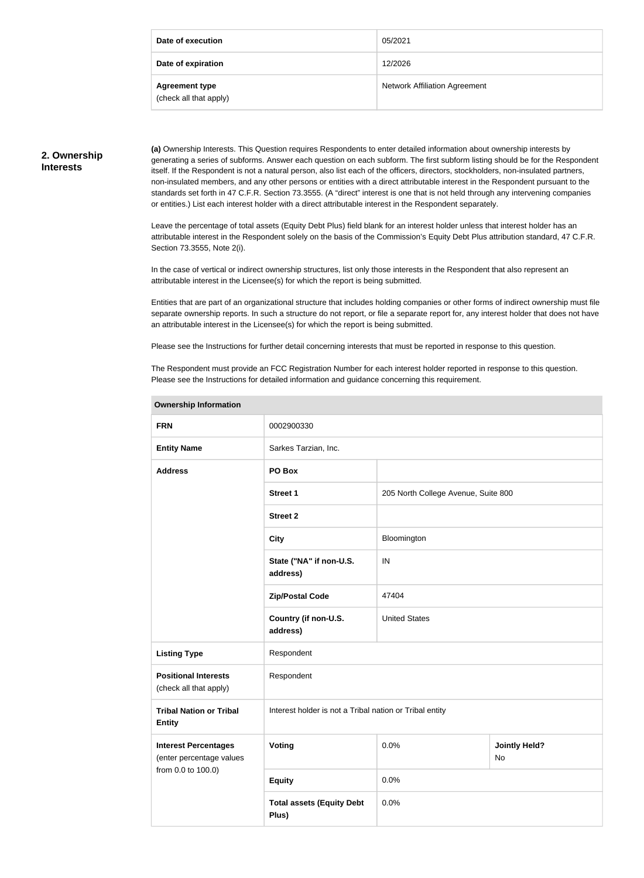| Date of execution                               | 05/2021                              |
|-------------------------------------------------|--------------------------------------|
| Date of expiration                              | 12/2026                              |
| <b>Agreement type</b><br>(check all that apply) | <b>Network Affiliation Agreement</b> |

### **2. Ownership Interests**

**(a)** Ownership Interests. This Question requires Respondents to enter detailed information about ownership interests by generating a series of subforms. Answer each question on each subform. The first subform listing should be for the Respondent itself. If the Respondent is not a natural person, also list each of the officers, directors, stockholders, non-insulated partners, non-insulated members, and any other persons or entities with a direct attributable interest in the Respondent pursuant to the standards set forth in 47 C.F.R. Section 73.3555. (A "direct" interest is one that is not held through any intervening companies or entities.) List each interest holder with a direct attributable interest in the Respondent separately.

Leave the percentage of total assets (Equity Debt Plus) field blank for an interest holder unless that interest holder has an attributable interest in the Respondent solely on the basis of the Commission's Equity Debt Plus attribution standard, 47 C.F.R. Section 73.3555, Note 2(i).

In the case of vertical or indirect ownership structures, list only those interests in the Respondent that also represent an attributable interest in the Licensee(s) for which the report is being submitted.

Entities that are part of an organizational structure that includes holding companies or other forms of indirect ownership must file separate ownership reports. In such a structure do not report, or file a separate report for, any interest holder that does not have an attributable interest in the Licensee(s) for which the report is being submitted.

Please see the Instructions for further detail concerning interests that must be reported in response to this question.

The Respondent must provide an FCC Registration Number for each interest holder reported in response to this question. Please see the Instructions for detailed information and guidance concerning this requirement.

| <b>FRN</b>                                                                    | 0002900330                                              |                                     |                            |  |
|-------------------------------------------------------------------------------|---------------------------------------------------------|-------------------------------------|----------------------------|--|
| <b>Entity Name</b>                                                            | Sarkes Tarzian, Inc.                                    |                                     |                            |  |
| <b>Address</b>                                                                | PO Box                                                  |                                     |                            |  |
|                                                                               | <b>Street 1</b>                                         | 205 North College Avenue, Suite 800 |                            |  |
|                                                                               | <b>Street 2</b>                                         |                                     |                            |  |
|                                                                               | <b>City</b>                                             | Bloomington                         |                            |  |
|                                                                               | State ("NA" if non-U.S.<br>address)                     | IN                                  |                            |  |
|                                                                               | <b>Zip/Postal Code</b>                                  | 47404                               |                            |  |
|                                                                               | Country (if non-U.S.<br>address)                        | <b>United States</b>                |                            |  |
| <b>Listing Type</b>                                                           | Respondent                                              |                                     |                            |  |
| <b>Positional Interests</b><br>(check all that apply)                         | Respondent                                              |                                     |                            |  |
| <b>Tribal Nation or Tribal</b><br><b>Entity</b>                               | Interest holder is not a Tribal nation or Tribal entity |                                     |                            |  |
| <b>Interest Percentages</b><br>(enter percentage values<br>from 0.0 to 100.0) | Voting                                                  | 0.0%                                | <b>Jointly Held?</b><br>No |  |
|                                                                               | <b>Equity</b>                                           | 0.0%                                |                            |  |
|                                                                               | <b>Total assets (Equity Debt</b><br>Plus)               | 0.0%                                |                            |  |

## **Ownership Information**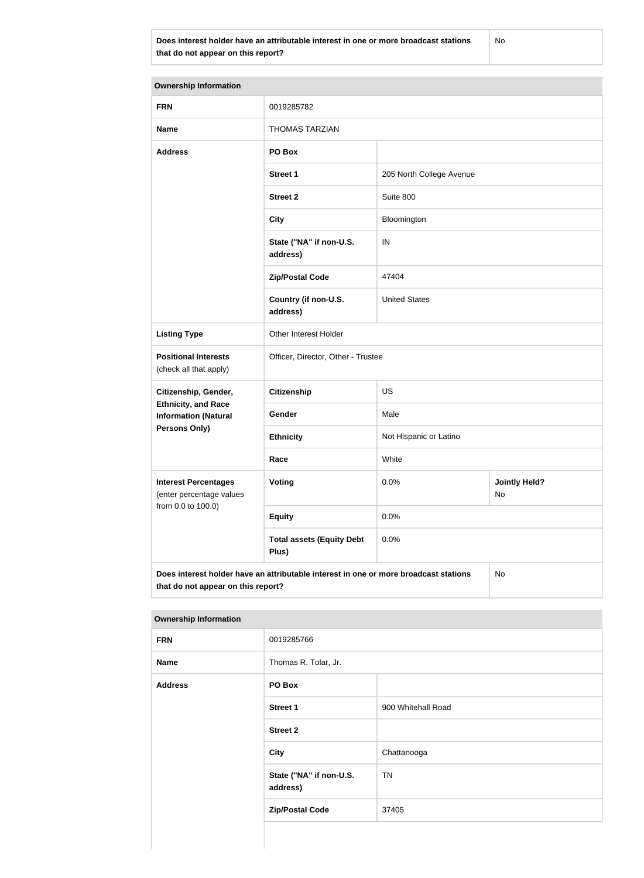No

| <b>Ownership Information</b>                                                                                                     |                                           |                          |                            |  |
|----------------------------------------------------------------------------------------------------------------------------------|-------------------------------------------|--------------------------|----------------------------|--|
|                                                                                                                                  |                                           |                          |                            |  |
| <b>FRN</b>                                                                                                                       | 0019285782                                |                          |                            |  |
| <b>Name</b>                                                                                                                      | <b>THOMAS TARZIAN</b>                     |                          |                            |  |
| <b>Address</b>                                                                                                                   | PO Box                                    |                          |                            |  |
|                                                                                                                                  | <b>Street 1</b>                           | 205 North College Avenue |                            |  |
|                                                                                                                                  | <b>Street 2</b>                           | Suite 800                |                            |  |
|                                                                                                                                  | <b>City</b>                               | Bloomington              |                            |  |
|                                                                                                                                  | State ("NA" if non-U.S.<br>address)       | $\sf IN$                 |                            |  |
|                                                                                                                                  | <b>Zip/Postal Code</b>                    | 47404                    |                            |  |
|                                                                                                                                  | Country (if non-U.S.<br>address)          | <b>United States</b>     |                            |  |
| <b>Listing Type</b>                                                                                                              | Other Interest Holder                     |                          |                            |  |
| <b>Positional Interests</b><br>(check all that apply)                                                                            | Officer, Director, Other - Trustee        |                          |                            |  |
| Citizenship, Gender,                                                                                                             | <b>Citizenship</b>                        | US                       |                            |  |
| <b>Ethnicity, and Race</b><br><b>Information (Natural</b>                                                                        | Gender                                    | Male                     |                            |  |
| Persons Only)                                                                                                                    | <b>Ethnicity</b>                          | Not Hispanic or Latino   |                            |  |
|                                                                                                                                  | Race                                      | White                    |                            |  |
| <b>Interest Percentages</b><br>(enter percentage values<br>from 0.0 to 100.0)                                                    | <b>Voting</b>                             | 0.0%                     | <b>Jointly Held?</b><br>No |  |
|                                                                                                                                  | <b>Equity</b>                             | 0.0%                     |                            |  |
|                                                                                                                                  | <b>Total assets (Equity Debt</b><br>Plus) | 0.0%                     |                            |  |
| Does interest holder have an attributable interest in one or more broadcast stations<br>No<br>that do not appear on this report? |                                           |                          |                            |  |

| <b>FRN</b>     | 0019285766                          |                    |
|----------------|-------------------------------------|--------------------|
| <b>Name</b>    | Thomas R. Tolar, Jr.                |                    |
| <b>Address</b> | PO Box                              |                    |
|                | <b>Street 1</b>                     | 900 Whitehall Road |
|                | <b>Street 2</b>                     |                    |
|                | <b>City</b>                         | Chattanooga        |
|                | State ("NA" if non-U.S.<br>address) | <b>TN</b>          |
|                | <b>Zip/Postal Code</b>              | 37405              |
|                |                                     |                    |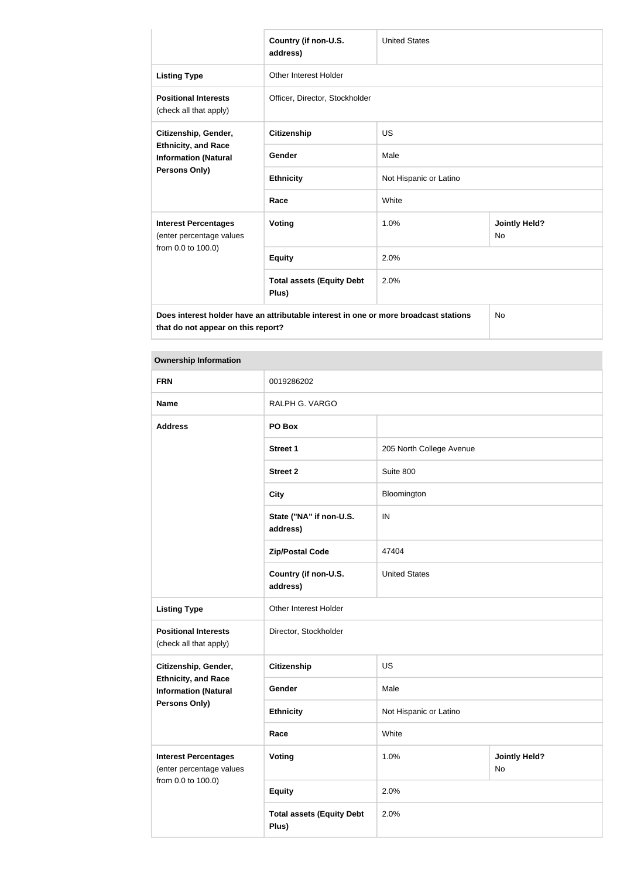|                                                                                                           | Country (if non-U.S.<br>address)          | <b>United States</b>   |                                   |
|-----------------------------------------------------------------------------------------------------------|-------------------------------------------|------------------------|-----------------------------------|
| <b>Listing Type</b>                                                                                       | <b>Other Interest Holder</b>              |                        |                                   |
| <b>Positional Interests</b><br>(check all that apply)                                                     | Officer, Director, Stockholder            |                        |                                   |
| Citizenship, Gender,<br><b>Ethnicity, and Race</b><br><b>Information (Natural</b><br><b>Persons Only)</b> | <b>Citizenship</b>                        | <b>US</b>              |                                   |
|                                                                                                           | Gender                                    | Male                   |                                   |
|                                                                                                           | <b>Ethnicity</b>                          | Not Hispanic or Latino |                                   |
|                                                                                                           | Race                                      | White                  |                                   |
| <b>Interest Percentages</b><br>(enter percentage values                                                   | <b>Voting</b>                             | 1.0%                   | <b>Jointly Held?</b><br><b>No</b> |
| from 0.0 to 100.0)                                                                                        | <b>Equity</b>                             | 2.0%                   |                                   |
|                                                                                                           | <b>Total assets (Equity Debt</b><br>Plus) | 2.0%                   |                                   |
| Does interest holder have an attributable interest in one or more broadcast stations                      |                                           |                        | <b>No</b>                         |

| <b>FRN</b>                                                | 0019286202                                |                          |                            |
|-----------------------------------------------------------|-------------------------------------------|--------------------------|----------------------------|
| <b>Name</b>                                               | RALPH G. VARGO                            |                          |                            |
| <b>Address</b>                                            | PO Box                                    |                          |                            |
|                                                           | <b>Street 1</b>                           | 205 North College Avenue |                            |
|                                                           | <b>Street 2</b>                           | Suite 800                |                            |
|                                                           | <b>City</b>                               | Bloomington              |                            |
|                                                           | State ("NA" if non-U.S.<br>address)       | IN                       |                            |
|                                                           | <b>Zip/Postal Code</b>                    | 47404                    |                            |
|                                                           | Country (if non-U.S.<br>address)          | <b>United States</b>     |                            |
| <b>Listing Type</b>                                       | Other Interest Holder                     |                          |                            |
| <b>Positional Interests</b><br>(check all that apply)     | Director, Stockholder                     |                          |                            |
| Citizenship, Gender,                                      | <b>Citizenship</b>                        | <b>US</b>                |                            |
| <b>Ethnicity, and Race</b><br><b>Information (Natural</b> | Gender                                    | Male                     |                            |
| <b>Persons Only)</b>                                      | <b>Ethnicity</b>                          | Not Hispanic or Latino   |                            |
|                                                           | Race                                      | White                    |                            |
| <b>Interest Percentages</b><br>(enter percentage values   | Voting                                    | 1.0%                     | <b>Jointly Held?</b><br>No |
| from 0.0 to 100.0)                                        | <b>Equity</b>                             | 2.0%                     |                            |
|                                                           | <b>Total assets (Equity Debt</b><br>Plus) | 2.0%                     |                            |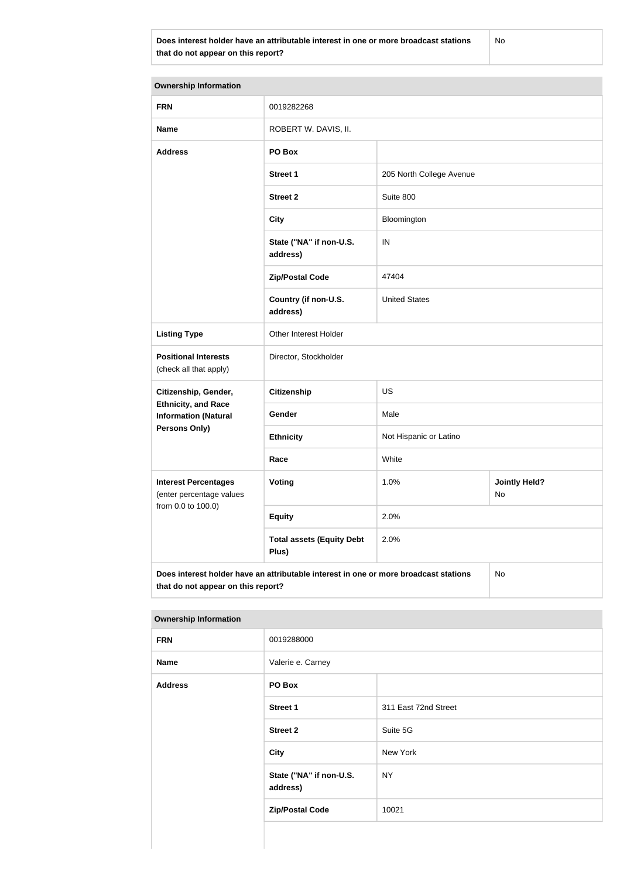No

| <b>Ownership Information</b>                                                               |                                           |                          |                            |
|--------------------------------------------------------------------------------------------|-------------------------------------------|--------------------------|----------------------------|
| <b>FRN</b>                                                                                 | 0019282268                                |                          |                            |
| <b>Name</b>                                                                                | ROBERT W. DAVIS, II.                      |                          |                            |
| <b>Address</b>                                                                             | PO Box                                    |                          |                            |
|                                                                                            | <b>Street 1</b>                           | 205 North College Avenue |                            |
|                                                                                            | <b>Street 2</b>                           | Suite 800                |                            |
|                                                                                            | <b>City</b>                               | Bloomington              |                            |
|                                                                                            | State ("NA" if non-U.S.<br>address)       | IN                       |                            |
|                                                                                            | <b>Zip/Postal Code</b>                    | 47404                    |                            |
|                                                                                            | Country (if non-U.S.<br>address)          | <b>United States</b>     |                            |
| <b>Listing Type</b>                                                                        | Other Interest Holder                     |                          |                            |
| <b>Positional Interests</b><br>(check all that apply)                                      | Director, Stockholder                     |                          |                            |
| Citizenship, Gender,                                                                       | <b>Citizenship</b>                        | <b>US</b>                |                            |
| <b>Ethnicity, and Race</b><br><b>Information (Natural</b>                                  | Gender                                    | Male                     |                            |
| <b>Persons Only)</b>                                                                       | <b>Ethnicity</b>                          | Not Hispanic or Latino   |                            |
|                                                                                            | Race                                      | White                    |                            |
| <b>Interest Percentages</b><br>(enter percentage values                                    | Voting                                    | 1.0%                     | <b>Jointly Held?</b><br>No |
| from 0.0 to 100.0)                                                                         | <b>Equity</b>                             | 2.0%                     |                            |
|                                                                                            | <b>Total assets (Equity Debt</b><br>Plus) | 2.0%                     |                            |
| Does interest holder have an attributable interest in one or more broadcast stations<br>No |                                           |                          |                            |

### **Ownership Information**

| the contract of the contract of the contract of the contract of the contract of the contract of the contract of |                                     |                      |  |
|-----------------------------------------------------------------------------------------------------------------|-------------------------------------|----------------------|--|
| <b>FRN</b>                                                                                                      | 0019288000                          |                      |  |
| <b>Name</b>                                                                                                     | Valerie e. Carney                   |                      |  |
| <b>Address</b>                                                                                                  | PO Box                              |                      |  |
|                                                                                                                 | <b>Street 1</b>                     | 311 East 72nd Street |  |
|                                                                                                                 | <b>Street 2</b>                     | Suite 5G             |  |
|                                                                                                                 | <b>City</b>                         | New York             |  |
|                                                                                                                 | State ("NA" if non-U.S.<br>address) | <b>NY</b>            |  |
|                                                                                                                 | <b>Zip/Postal Code</b>              | 10021                |  |
|                                                                                                                 |                                     |                      |  |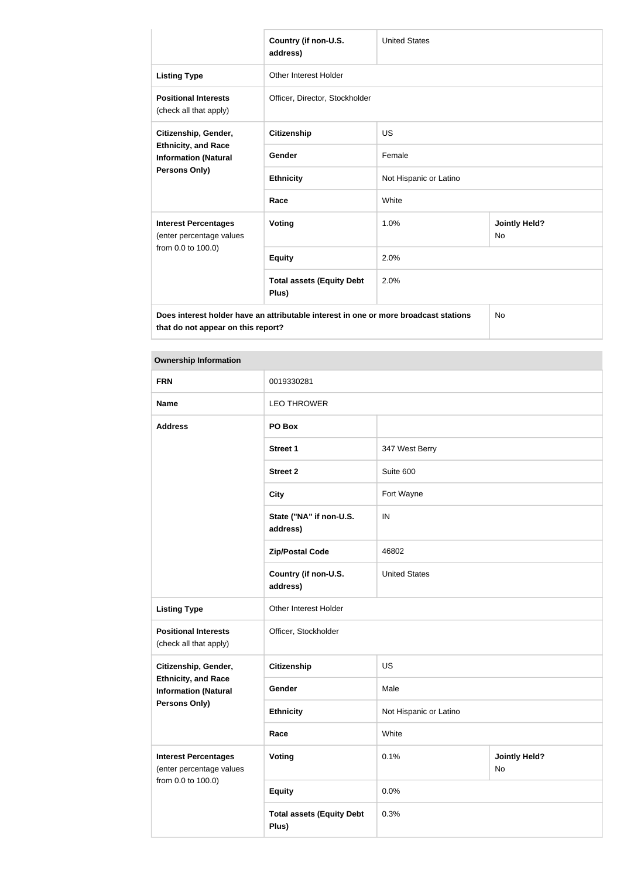|                                                                                                    | Country (if non-U.S.<br>address)          | <b>United States</b>   |                            |
|----------------------------------------------------------------------------------------------------|-------------------------------------------|------------------------|----------------------------|
| <b>Listing Type</b>                                                                                | Other Interest Holder                     |                        |                            |
| <b>Positional Interests</b><br>(check all that apply)                                              | Officer, Director, Stockholder            |                        |                            |
| Citizenship, Gender,<br><b>Ethnicity, and Race</b><br><b>Information (Natural</b><br>Persons Only) | Citizenship                               | <b>US</b>              |                            |
|                                                                                                    | Gender                                    | Female                 |                            |
|                                                                                                    | <b>Ethnicity</b>                          | Not Hispanic or Latino |                            |
|                                                                                                    | Race                                      | White                  |                            |
| <b>Interest Percentages</b><br>(enter percentage values                                            | <b>Voting</b>                             | 1.0%                   | <b>Jointly Held?</b><br>No |
| from 0.0 to 100.0)                                                                                 | <b>Equity</b>                             | 2.0%                   |                            |
|                                                                                                    | <b>Total assets (Equity Debt</b><br>Plus) | 2.0%                   |                            |
| Does interest holder have an attributable interest in one or more broadcast stations               |                                           |                        | No                         |

| <b>FRN</b>                                                | 0019330281                                |                        |                            |
|-----------------------------------------------------------|-------------------------------------------|------------------------|----------------------------|
| <b>Name</b>                                               | <b>LEO THROWER</b>                        |                        |                            |
| <b>Address</b>                                            | PO Box                                    |                        |                            |
|                                                           | <b>Street 1</b>                           | 347 West Berry         |                            |
|                                                           | <b>Street 2</b>                           | Suite 600              |                            |
|                                                           | <b>City</b>                               | Fort Wayne             |                            |
|                                                           | State ("NA" if non-U.S.<br>address)       | IN                     |                            |
|                                                           | <b>Zip/Postal Code</b>                    | 46802                  |                            |
|                                                           | Country (if non-U.S.<br>address)          | <b>United States</b>   |                            |
| <b>Listing Type</b>                                       | Other Interest Holder                     |                        |                            |
| <b>Positional Interests</b><br>(check all that apply)     | Officer, Stockholder                      |                        |                            |
| Citizenship, Gender,                                      | <b>Citizenship</b>                        | US                     |                            |
| <b>Ethnicity, and Race</b><br><b>Information (Natural</b> | Gender                                    | Male                   |                            |
| <b>Persons Only)</b>                                      | <b>Ethnicity</b>                          | Not Hispanic or Latino |                            |
|                                                           | Race                                      | White                  |                            |
| <b>Interest Percentages</b><br>(enter percentage values   | <b>Voting</b>                             | 0.1%                   | <b>Jointly Held?</b><br>No |
| from 0.0 to 100.0)                                        | <b>Equity</b>                             | 0.0%                   |                            |
|                                                           | <b>Total assets (Equity Debt</b><br>Plus) | 0.3%                   |                            |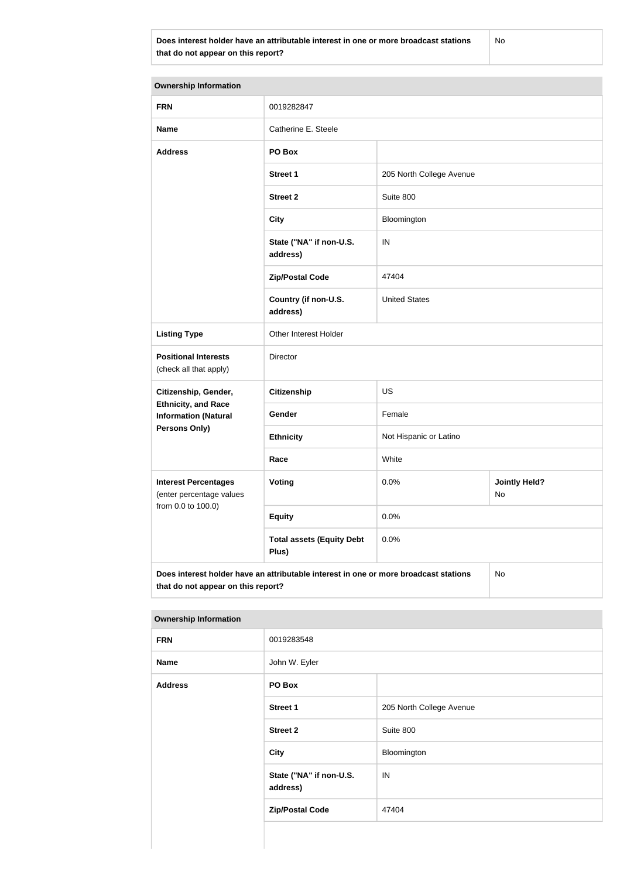No

| <b>Ownership Information</b>                                                               |                                           |                          |                            |
|--------------------------------------------------------------------------------------------|-------------------------------------------|--------------------------|----------------------------|
| <b>FRN</b>                                                                                 | 0019282847                                |                          |                            |
| <b>Name</b>                                                                                | Catherine E. Steele                       |                          |                            |
| <b>Address</b>                                                                             | PO Box                                    |                          |                            |
|                                                                                            | <b>Street 1</b>                           | 205 North College Avenue |                            |
|                                                                                            | <b>Street 2</b>                           | Suite 800                |                            |
|                                                                                            | <b>City</b>                               | Bloomington              |                            |
|                                                                                            | State ("NA" if non-U.S.<br>address)       | IN                       |                            |
|                                                                                            | <b>Zip/Postal Code</b>                    | 47404                    |                            |
|                                                                                            | Country (if non-U.S.<br>address)          | <b>United States</b>     |                            |
| <b>Listing Type</b>                                                                        | Other Interest Holder                     |                          |                            |
| <b>Positional Interests</b><br>(check all that apply)                                      | Director                                  |                          |                            |
| Citizenship, Gender,                                                                       | Citizenship                               | <b>US</b>                |                            |
| <b>Ethnicity, and Race</b><br><b>Information (Natural</b>                                  | Gender                                    | Female                   |                            |
| Persons Only)                                                                              | <b>Ethnicity</b>                          | Not Hispanic or Latino   |                            |
|                                                                                            | Race                                      | White                    |                            |
| <b>Interest Percentages</b><br>(enter percentage values                                    | Voting                                    | 0.0%                     | <b>Jointly Held?</b><br>No |
| from 0.0 to 100.0)                                                                         | <b>Equity</b>                             | 0.0%                     |                            |
|                                                                                            | <b>Total assets (Equity Debt</b><br>Plus) | 0.0%                     |                            |
| Does interest holder have an attributable interest in one or more broadcast stations<br>No |                                           |                          |                            |

| <b>Ownership Information</b> |                                     |                          |
|------------------------------|-------------------------------------|--------------------------|
| <b>FRN</b>                   | 0019283548                          |                          |
| <b>Name</b>                  | John W. Eyler                       |                          |
| <b>Address</b>               | PO Box                              |                          |
|                              | Street 1                            | 205 North College Avenue |
|                              | <b>Street 2</b>                     | Suite 800                |
|                              | <b>City</b>                         | Bloomington              |
|                              | State ("NA" if non-U.S.<br>address) | IN                       |
|                              | <b>Zip/Postal Code</b>              | 47404                    |
|                              |                                     |                          |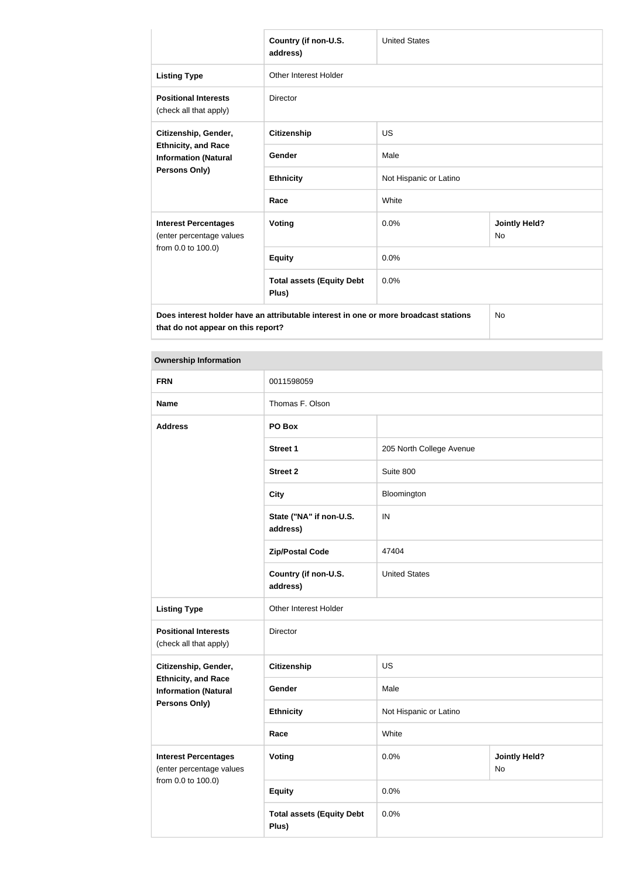|                                                                                                    | Country (if non-U.S.<br>address)          | <b>United States</b>   |                                   |
|----------------------------------------------------------------------------------------------------|-------------------------------------------|------------------------|-----------------------------------|
| <b>Listing Type</b>                                                                                | <b>Other Interest Holder</b>              |                        |                                   |
| <b>Positional Interests</b><br>(check all that apply)                                              | <b>Director</b>                           |                        |                                   |
| Citizenship, Gender,<br><b>Ethnicity, and Race</b><br><b>Information (Natural</b><br>Persons Only) | <b>Citizenship</b>                        | <b>US</b>              |                                   |
|                                                                                                    | Gender                                    | Male                   |                                   |
|                                                                                                    | <b>Ethnicity</b>                          | Not Hispanic or Latino |                                   |
|                                                                                                    | Race                                      | White                  |                                   |
| <b>Interest Percentages</b><br>(enter percentage values                                            | <b>Voting</b>                             | 0.0%                   | <b>Jointly Held?</b><br><b>No</b> |
| from 0.0 to 100.0)                                                                                 | <b>Equity</b>                             | 0.0%                   |                                   |
|                                                                                                    | <b>Total assets (Equity Debt</b><br>Plus) | 0.0%                   |                                   |
| Does interest holder have an attributable interest in one or more broadcast stations               |                                           |                        | <b>No</b>                         |

| <b>FRN</b>                                                | 0011598059                                |                          |                            |
|-----------------------------------------------------------|-------------------------------------------|--------------------------|----------------------------|
| <b>Name</b>                                               | Thomas F. Olson                           |                          |                            |
| <b>Address</b>                                            | PO Box                                    |                          |                            |
|                                                           | Street 1                                  | 205 North College Avenue |                            |
|                                                           | <b>Street 2</b>                           | Suite 800                |                            |
|                                                           | <b>City</b>                               | Bloomington              |                            |
|                                                           | State ("NA" if non-U.S.<br>address)       | IN                       |                            |
|                                                           | <b>Zip/Postal Code</b>                    | 47404                    |                            |
|                                                           | Country (if non-U.S.<br>address)          | <b>United States</b>     |                            |
| <b>Listing Type</b>                                       | Other Interest Holder                     |                          |                            |
| <b>Positional Interests</b><br>(check all that apply)     | <b>Director</b>                           |                          |                            |
| Citizenship, Gender,                                      | <b>Citizenship</b>                        | US                       |                            |
| <b>Ethnicity, and Race</b><br><b>Information (Natural</b> | Gender                                    | Male                     |                            |
| <b>Persons Only)</b>                                      | <b>Ethnicity</b>                          | Not Hispanic or Latino   |                            |
|                                                           | Race                                      | White                    |                            |
| <b>Interest Percentages</b><br>(enter percentage values   | <b>Voting</b>                             | 0.0%                     | <b>Jointly Held?</b><br>No |
| from 0.0 to 100.0)                                        | <b>Equity</b>                             | 0.0%                     |                            |
|                                                           | <b>Total assets (Equity Debt</b><br>Plus) | 0.0%                     |                            |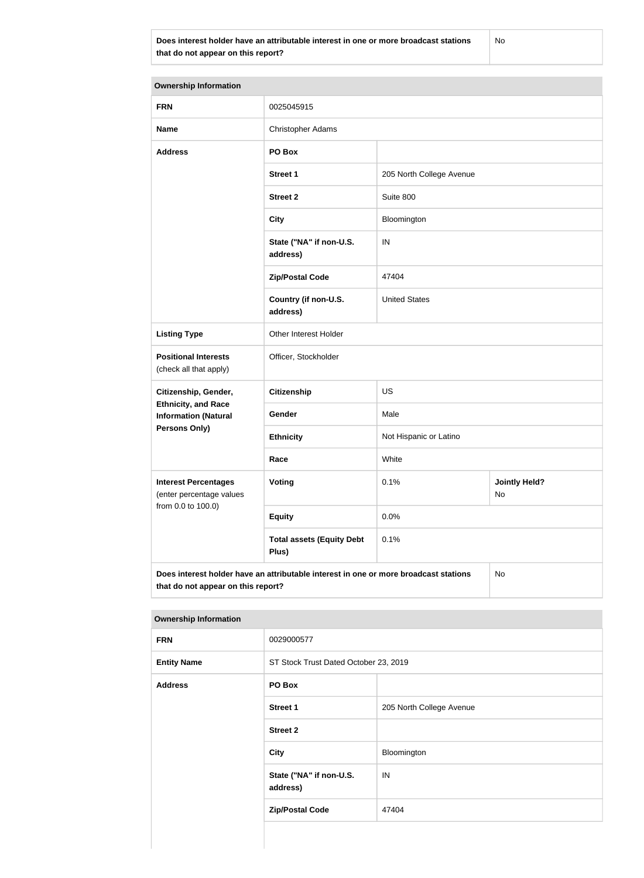No

| <b>Ownership Information</b>                                                               |                                           |                          |                            |
|--------------------------------------------------------------------------------------------|-------------------------------------------|--------------------------|----------------------------|
| <b>FRN</b>                                                                                 | 0025045915                                |                          |                            |
| <b>Name</b>                                                                                | <b>Christopher Adams</b>                  |                          |                            |
| <b>Address</b>                                                                             | PO Box                                    |                          |                            |
|                                                                                            | <b>Street 1</b>                           | 205 North College Avenue |                            |
|                                                                                            | <b>Street 2</b>                           | Suite 800                |                            |
|                                                                                            | <b>City</b>                               | Bloomington              |                            |
|                                                                                            | State ("NA" if non-U.S.<br>address)       | IN                       |                            |
|                                                                                            | <b>Zip/Postal Code</b>                    | 47404                    |                            |
|                                                                                            | Country (if non-U.S.<br>address)          | <b>United States</b>     |                            |
| <b>Listing Type</b>                                                                        | Other Interest Holder                     |                          |                            |
| <b>Positional Interests</b><br>(check all that apply)                                      | Officer, Stockholder                      |                          |                            |
| Citizenship, Gender,                                                                       | <b>Citizenship</b>                        | <b>US</b>                |                            |
| <b>Ethnicity, and Race</b><br><b>Information (Natural</b>                                  | Gender                                    | Male                     |                            |
| Persons Only)                                                                              | <b>Ethnicity</b>                          | Not Hispanic or Latino   |                            |
|                                                                                            | Race                                      | White                    |                            |
| <b>Interest Percentages</b><br>(enter percentage values                                    | <b>Voting</b>                             | 0.1%                     | <b>Jointly Held?</b><br>No |
| from 0.0 to 100.0)                                                                         | <b>Equity</b>                             | 0.0%                     |                            |
|                                                                                            | <b>Total assets (Equity Debt</b><br>Plus) | 0.1%                     |                            |
| Does interest holder have an attributable interest in one or more broadcast stations<br>No |                                           |                          |                            |

**Ownership Information**

| the contract of the contract of the contract of the contract of the contract of the contract of the contract of |                                       |                          |  |
|-----------------------------------------------------------------------------------------------------------------|---------------------------------------|--------------------------|--|
| <b>FRN</b>                                                                                                      | 0029000577                            |                          |  |
| <b>Entity Name</b>                                                                                              | ST Stock Trust Dated October 23, 2019 |                          |  |
| <b>Address</b>                                                                                                  | PO Box                                |                          |  |
|                                                                                                                 | Street 1                              | 205 North College Avenue |  |
|                                                                                                                 | <b>Street 2</b>                       |                          |  |
|                                                                                                                 | <b>City</b>                           | Bloomington              |  |
|                                                                                                                 | State ("NA" if non-U.S.<br>address)   | IN                       |  |
|                                                                                                                 | <b>Zip/Postal Code</b>                | 47404                    |  |
|                                                                                                                 |                                       |                          |  |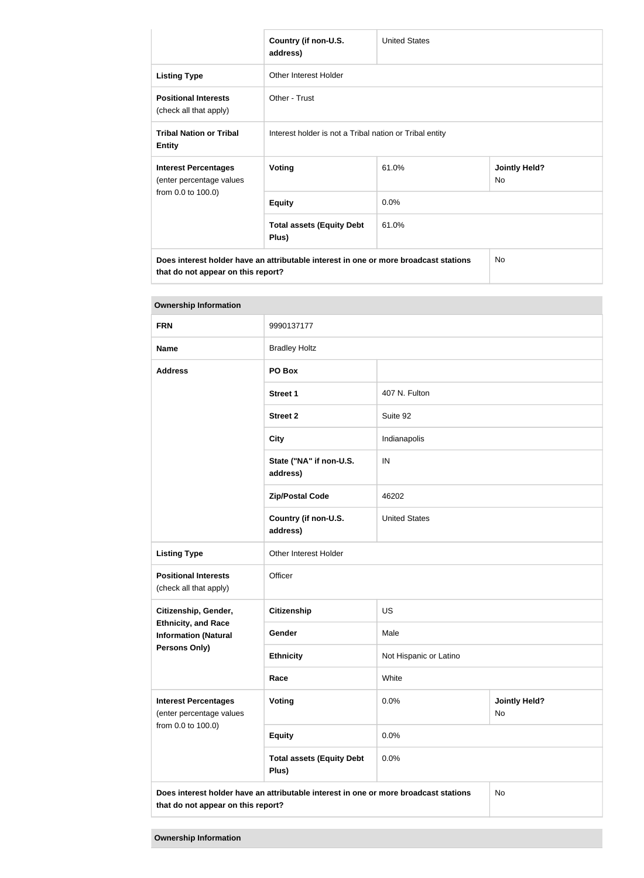|                                                                                                                            | Country (if non-U.S.<br>address)                        | <b>United States</b> |                            |
|----------------------------------------------------------------------------------------------------------------------------|---------------------------------------------------------|----------------------|----------------------------|
| <b>Listing Type</b>                                                                                                        | Other Interest Holder                                   |                      |                            |
| <b>Positional Interests</b><br>(check all that apply)                                                                      | Other - Trust                                           |                      |                            |
| <b>Tribal Nation or Tribal</b><br><b>Entity</b>                                                                            | Interest holder is not a Tribal nation or Tribal entity |                      |                            |
| <b>Interest Percentages</b><br>(enter percentage values<br>from 0.0 to 100.0)                                              | <b>Voting</b>                                           | 61.0%                | <b>Jointly Held?</b><br>No |
|                                                                                                                            | <b>Equity</b>                                           | 0.0%                 |                            |
|                                                                                                                            | <b>Total assets (Equity Debt</b><br>Plus)               | 61.0%                |                            |
| Does interest holder have an attributable interest in one or more broadcast stations<br>that do not appear on this report? |                                                         |                      | No.                        |

| <b>Ownership Information</b>                                                  |                                                                                      |                        |                            |
|-------------------------------------------------------------------------------|--------------------------------------------------------------------------------------|------------------------|----------------------------|
| <b>FRN</b>                                                                    | 9990137177                                                                           |                        |                            |
| <b>Name</b>                                                                   | <b>Bradley Holtz</b>                                                                 |                        |                            |
| <b>Address</b>                                                                | PO Box                                                                               |                        |                            |
|                                                                               | <b>Street 1</b>                                                                      | 407 N. Fulton          |                            |
|                                                                               | <b>Street 2</b>                                                                      | Suite 92               |                            |
|                                                                               | <b>City</b>                                                                          | Indianapolis           |                            |
|                                                                               | State ("NA" if non-U.S.<br>address)                                                  | IN                     |                            |
|                                                                               | <b>Zip/Postal Code</b>                                                               | 46202                  |                            |
|                                                                               | Country (if non-U.S.<br>address)                                                     | <b>United States</b>   |                            |
| <b>Listing Type</b>                                                           | Other Interest Holder                                                                |                        |                            |
| <b>Positional Interests</b><br>(check all that apply)                         | Officer                                                                              |                        |                            |
| Citizenship, Gender,                                                          | <b>Citizenship</b>                                                                   | <b>US</b>              |                            |
| <b>Ethnicity, and Race</b><br><b>Information (Natural</b>                     | Gender                                                                               | Male                   |                            |
| <b>Persons Only)</b>                                                          | <b>Ethnicity</b>                                                                     | Not Hispanic or Latino |                            |
|                                                                               | Race                                                                                 | White                  |                            |
| <b>Interest Percentages</b><br>(enter percentage values<br>from 0.0 to 100.0) | Voting                                                                               | 0.0%                   | <b>Jointly Held?</b><br>No |
|                                                                               | <b>Equity</b>                                                                        | 0.0%                   |                            |
|                                                                               | <b>Total assets (Equity Debt</b><br>Plus)                                            | 0.0%                   |                            |
|                                                                               | Does interest holder have an attributable interest in one or more broadcast stations |                        | No                         |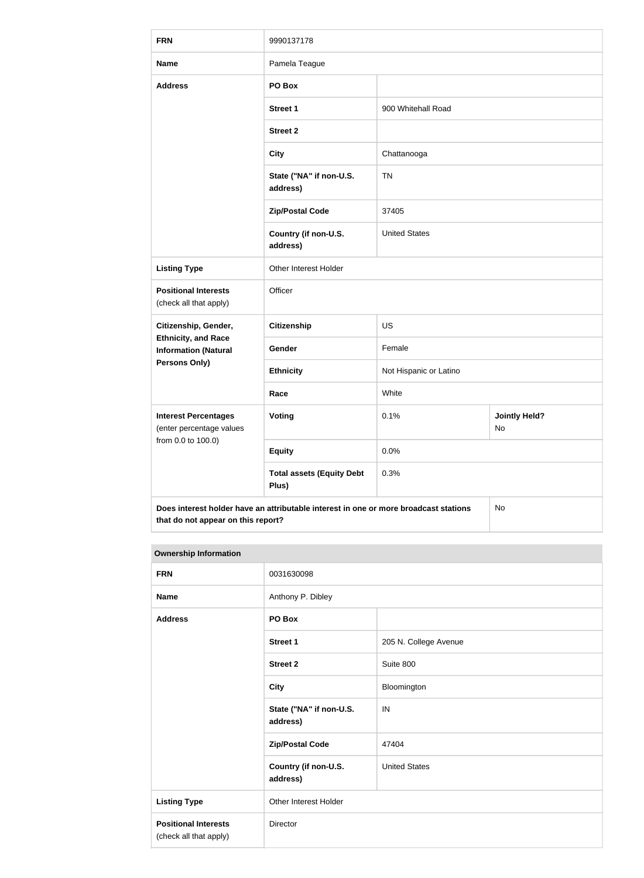| <b>FRN</b>                                                                    | 9990137178                                                                           |                        |                            |
|-------------------------------------------------------------------------------|--------------------------------------------------------------------------------------|------------------------|----------------------------|
| <b>Name</b>                                                                   | Pamela Teague                                                                        |                        |                            |
| <b>Address</b>                                                                | PO Box                                                                               |                        |                            |
|                                                                               | <b>Street 1</b>                                                                      | 900 Whitehall Road     |                            |
|                                                                               | <b>Street 2</b>                                                                      |                        |                            |
|                                                                               | <b>City</b>                                                                          | Chattanooga            |                            |
|                                                                               | State ("NA" if non-U.S.<br>address)                                                  | <b>TN</b>              |                            |
|                                                                               | <b>Zip/Postal Code</b>                                                               | 37405                  |                            |
|                                                                               | Country (if non-U.S.<br>address)                                                     | <b>United States</b>   |                            |
| <b>Listing Type</b>                                                           | Other Interest Holder                                                                |                        |                            |
| <b>Positional Interests</b><br>(check all that apply)                         | Officer                                                                              |                        |                            |
| Citizenship, Gender,                                                          | <b>Citizenship</b>                                                                   | <b>US</b>              |                            |
| <b>Ethnicity, and Race</b><br><b>Information (Natural</b>                     | Gender                                                                               | Female                 |                            |
| <b>Persons Only)</b>                                                          | <b>Ethnicity</b>                                                                     | Not Hispanic or Latino |                            |
|                                                                               | Race                                                                                 | White                  |                            |
| <b>Interest Percentages</b><br>(enter percentage values<br>from 0.0 to 100.0) | <b>Voting</b>                                                                        | 0.1%                   | <b>Jointly Held?</b><br>No |
|                                                                               | <b>Equity</b>                                                                        | 0.0%                   |                            |
|                                                                               | <b>Total assets (Equity Debt</b><br>Plus)                                            | 0.3%                   |                            |
| that do not appear on this report?                                            | Does interest holder have an attributable interest in one or more broadcast stations |                        | No                         |

| <b>Ownership Information</b> |
|------------------------------|

| <b>FRN</b>                                            | 0031630098                          |                       |  |
|-------------------------------------------------------|-------------------------------------|-----------------------|--|
| <b>Name</b>                                           | Anthony P. Dibley                   |                       |  |
| <b>Address</b>                                        | PO Box                              |                       |  |
|                                                       | Street 1                            | 205 N. College Avenue |  |
|                                                       | <b>Street 2</b>                     | Suite 800             |  |
|                                                       | <b>City</b>                         | Bloomington           |  |
|                                                       | State ("NA" if non-U.S.<br>address) | IN                    |  |
|                                                       | <b>Zip/Postal Code</b>              | 47404                 |  |
|                                                       | Country (if non-U.S.<br>address)    | <b>United States</b>  |  |
| <b>Listing Type</b>                                   | Other Interest Holder               |                       |  |
| <b>Positional Interests</b><br>(check all that apply) | Director                            |                       |  |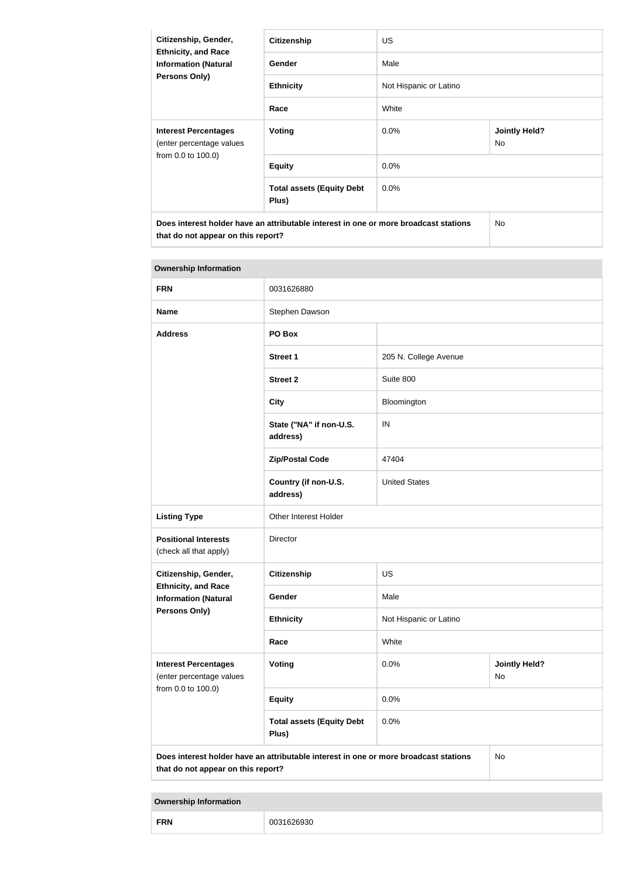| Citizenship, Gender,<br><b>Ethnicity, and Race</b><br><b>Information (Natural</b><br>Persons Only)                         | <b>Citizenship</b>                        | US.                    |                                   |
|----------------------------------------------------------------------------------------------------------------------------|-------------------------------------------|------------------------|-----------------------------------|
|                                                                                                                            | Gender                                    | Male                   |                                   |
|                                                                                                                            | <b>Ethnicity</b>                          | Not Hispanic or Latino |                                   |
|                                                                                                                            | Race                                      | White                  |                                   |
| <b>Interest Percentages</b><br>(enter percentage values                                                                    | Voting                                    | $0.0\%$                | <b>Jointly Held?</b><br><b>No</b> |
| from 0.0 to 100.0)                                                                                                         | <b>Equity</b>                             | 0.0%                   |                                   |
|                                                                                                                            | <b>Total assets (Equity Debt</b><br>Plus) | 0.0%                   |                                   |
| Does interest holder have an attributable interest in one or more broadcast stations<br>that do not appear on this report? |                                           |                        | <b>No</b>                         |

| <b>Ownership Information</b>                                                  |                                                                                      |                                    |    |  |
|-------------------------------------------------------------------------------|--------------------------------------------------------------------------------------|------------------------------------|----|--|
| <b>FRN</b>                                                                    | 0031626880                                                                           |                                    |    |  |
| <b>Name</b>                                                                   | Stephen Dawson                                                                       |                                    |    |  |
| <b>Address</b>                                                                | PO Box                                                                               |                                    |    |  |
|                                                                               | <b>Street 1</b>                                                                      | 205 N. College Avenue              |    |  |
|                                                                               | <b>Street 2</b>                                                                      | Suite 800                          |    |  |
|                                                                               | <b>City</b>                                                                          | Bloomington                        |    |  |
|                                                                               | State ("NA" if non-U.S.<br>address)                                                  | IN                                 |    |  |
|                                                                               | <b>Zip/Postal Code</b>                                                               | 47404                              |    |  |
|                                                                               | Country (if non-U.S.<br>address)                                                     | <b>United States</b>               |    |  |
| <b>Listing Type</b>                                                           | Other Interest Holder                                                                |                                    |    |  |
| <b>Positional Interests</b><br>(check all that apply)                         | <b>Director</b>                                                                      |                                    |    |  |
| Citizenship, Gender,                                                          | <b>Citizenship</b>                                                                   | <b>US</b>                          |    |  |
| <b>Ethnicity, and Race</b><br><b>Information (Natural</b>                     | Gender                                                                               | Male                               |    |  |
| Persons Only)                                                                 | <b>Ethnicity</b>                                                                     | Not Hispanic or Latino             |    |  |
|                                                                               | Race                                                                                 | White                              |    |  |
| <b>Interest Percentages</b><br>(enter percentage values<br>from 0.0 to 100.0) | Voting                                                                               | 0.0%<br><b>Jointly Held?</b><br>No |    |  |
|                                                                               | <b>Equity</b>                                                                        | 0.0%                               |    |  |
|                                                                               | <b>Total assets (Equity Debt</b><br>Plus)                                            | 0.0%                               |    |  |
| that do not appear on this report?                                            | Does interest holder have an attributable interest in one or more broadcast stations |                                    | No |  |

| <b>FRN</b><br>K<br>יר |
|-----------------------|
|-----------------------|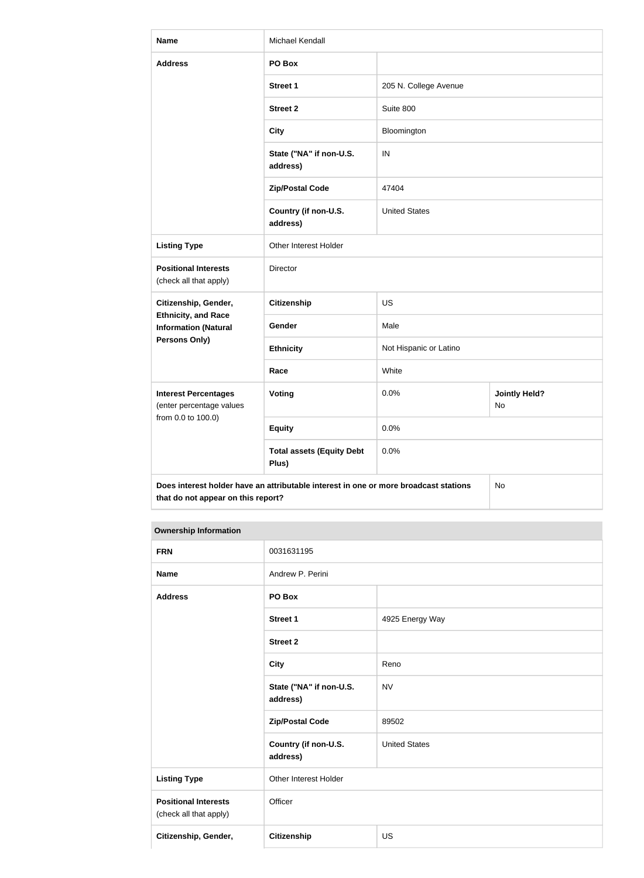| <b>Name</b>                                               | Michael Kendall                                                                      |                        |                            |
|-----------------------------------------------------------|--------------------------------------------------------------------------------------|------------------------|----------------------------|
| <b>Address</b>                                            | PO Box                                                                               |                        |                            |
|                                                           | <b>Street 1</b>                                                                      | 205 N. College Avenue  |                            |
|                                                           | <b>Street 2</b>                                                                      | Suite 800              |                            |
|                                                           | <b>City</b>                                                                          | Bloomington            |                            |
|                                                           | State ("NA" if non-U.S.<br>address)                                                  | IN                     |                            |
|                                                           | <b>Zip/Postal Code</b>                                                               | 47404                  |                            |
|                                                           | Country (if non-U.S.<br>address)                                                     | <b>United States</b>   |                            |
| <b>Listing Type</b>                                       | Other Interest Holder                                                                |                        |                            |
| <b>Positional Interests</b><br>(check all that apply)     | Director                                                                             |                        |                            |
| Citizenship, Gender,                                      | <b>Citizenship</b>                                                                   | <b>US</b>              |                            |
| <b>Ethnicity, and Race</b><br><b>Information (Natural</b> | Gender                                                                               | Male                   |                            |
| <b>Persons Only)</b>                                      | <b>Ethnicity</b>                                                                     | Not Hispanic or Latino |                            |
|                                                           | Race                                                                                 | White                  |                            |
| <b>Interest Percentages</b><br>(enter percentage values   | <b>Voting</b>                                                                        | 0.0%                   | <b>Jointly Held?</b><br>No |
| from 0.0 to 100.0)                                        | <b>Equity</b>                                                                        | 0.0%                   |                            |
|                                                           | <b>Total assets (Equity Debt</b><br>Plus)                                            | 0.0%                   |                            |
| that do not appear on this report?                        | Does interest holder have an attributable interest in one or more broadcast stations |                        | No                         |

| <b>FRN</b>                                            | 0031631195                          |                      |  |
|-------------------------------------------------------|-------------------------------------|----------------------|--|
| <b>Name</b>                                           | Andrew P. Perini                    |                      |  |
| <b>Address</b>                                        | PO Box                              |                      |  |
|                                                       | <b>Street 1</b>                     | 4925 Energy Way      |  |
|                                                       | <b>Street 2</b>                     |                      |  |
|                                                       | <b>City</b>                         | Reno                 |  |
|                                                       | State ("NA" if non-U.S.<br>address) | <b>NV</b>            |  |
|                                                       | <b>Zip/Postal Code</b>              | 89502                |  |
|                                                       | Country (if non-U.S.<br>address)    | <b>United States</b> |  |
| <b>Listing Type</b>                                   | Other Interest Holder               |                      |  |
| <b>Positional Interests</b><br>(check all that apply) | Officer                             |                      |  |
| Citizenship, Gender,                                  | <b>Citizenship</b>                  | US                   |  |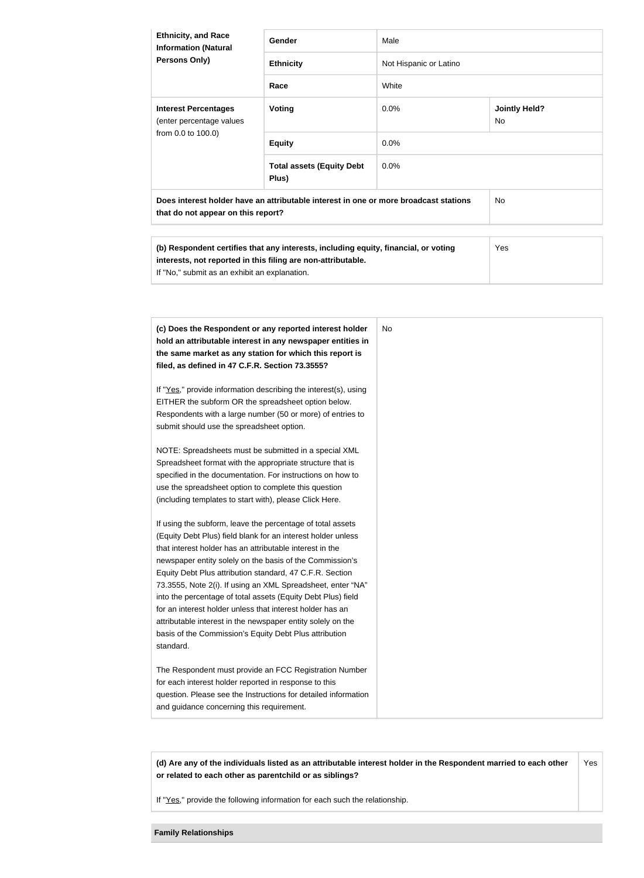| <b>Ethnicity, and Race</b><br><b>Information (Natural</b><br><b>Persons Only)</b>                                          | <b>Gender</b>                             | Male                   |                             |
|----------------------------------------------------------------------------------------------------------------------------|-------------------------------------------|------------------------|-----------------------------|
|                                                                                                                            | <b>Ethnicity</b>                          | Not Hispanic or Latino |                             |
|                                                                                                                            | Race                                      | White                  |                             |
| <b>Interest Percentages</b><br>(enter percentage values<br>from 0.0 to 100.0)                                              | Voting                                    | $0.0\%$                | <b>Jointly Held?</b><br>No. |
|                                                                                                                            | <b>Equity</b>                             | 0.0%                   |                             |
|                                                                                                                            | <b>Total assets (Equity Debt</b><br>Plus) | $0.0\%$                |                             |
| Does interest holder have an attributable interest in one or more broadcast stations<br>that do not appear on this report? |                                           | No.                    |                             |

| (b) Respondent certifies that any interests, including equity, financial, or voting | Yes |
|-------------------------------------------------------------------------------------|-----|
| interests, not reported in this filing are non-attributable.                        |     |
| If "No." submit as an exhibit an explanation.                                       |     |

| (c) Does the Respondent or any reported interest holder<br>hold an attributable interest in any newspaper entities in<br>the same market as any station for which this report is<br>filed, as defined in 47 C.F.R. Section 73.3555?                                                                                                                                                                                                                                                                                                                                                                                                              | No. |
|--------------------------------------------------------------------------------------------------------------------------------------------------------------------------------------------------------------------------------------------------------------------------------------------------------------------------------------------------------------------------------------------------------------------------------------------------------------------------------------------------------------------------------------------------------------------------------------------------------------------------------------------------|-----|
| If "Yes," provide information describing the interest(s), using<br>EITHER the subform OR the spreadsheet option below.<br>Respondents with a large number (50 or more) of entries to<br>submit should use the spreadsheet option.                                                                                                                                                                                                                                                                                                                                                                                                                |     |
| NOTE: Spreadsheets must be submitted in a special XML<br>Spreadsheet format with the appropriate structure that is<br>specified in the documentation. For instructions on how to<br>use the spreadsheet option to complete this question<br>(including templates to start with), please Click Here.                                                                                                                                                                                                                                                                                                                                              |     |
| If using the subform, leave the percentage of total assets<br>(Equity Debt Plus) field blank for an interest holder unless<br>that interest holder has an attributable interest in the<br>newspaper entity solely on the basis of the Commission's<br>Equity Debt Plus attribution standard, 47 C.F.R. Section<br>73.3555, Note 2(i). If using an XML Spreadsheet, enter "NA"<br>into the percentage of total assets (Equity Debt Plus) field<br>for an interest holder unless that interest holder has an<br>attributable interest in the newspaper entity solely on the<br>basis of the Commission's Equity Debt Plus attribution<br>standard. |     |
| The Respondent must provide an FCC Registration Number<br>for each interest holder reported in response to this<br>question. Please see the Instructions for detailed information<br>and guidance concerning this requirement.                                                                                                                                                                                                                                                                                                                                                                                                                   |     |

**(d) Are any of the individuals listed as an attributable interest holder in the Respondent married to each other or related to each other as parentchild or as siblings?** Yes

If "Yes," provide the following information for each such the relationship.

**Family Relationships**